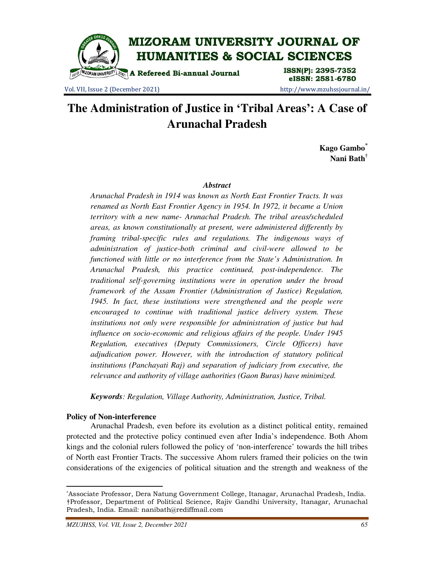

Vol. VII, Issue 2 (December 2021) http://www.mzuhssjournal.in/

eISSN: 2581-6780

# **The Administration of Justice in 'Tribal Areas': A Case of Arunachal Pradesh**

**Kago Gambo\* Nani Bath†**

## *Abstract*

*Arunachal Pradesh in 1914 was known as North East Frontier Tracts. It was renamed as North East Frontier Agency in 1954. In 1972, it became a Union territory with a new name- Arunachal Pradesh. The tribal areas/scheduled areas, as known constitutionally at present, were administered differently by framing tribal-specific rules and regulations. The indigenous ways of administration of justice-both criminal and civil-were allowed to be functioned with little or no interference from the State's Administration. In Arunachal Pradesh, this practice continued, post-independence. The traditional self-governing institutions were in operation under the broad framework of the Assam Frontier (Administration of Justice) Regulation, 1945. In fact, these institutions were strengthened and the people were encouraged to continue with traditional justice delivery system. These institutions not only were responsible for administration of justice but had influence on socio-economic and religious affairs of the people. Under 1945 Regulation, executives (Deputy Commissioners, Circle Officers) have adjudication power. However, with the introduction of statutory political institutions (Panchayati Raj) and separation of judiciary from executive, the relevance and authority of village authorities (Gaon Buras) have minimized.* 

*Keywords: Regulation, Village Authority, Administration, Justice, Tribal.* 

# **Policy of Non-interference**

 $\overline{a}$ 

Arunachal Pradesh, even before its evolution as a distinct political entity, remained protected and the protective policy continued even after India's independence. Both Ahom kings and the colonial rulers followed the policy of 'non-interference' towards the hill tribes of North east Frontier Tracts. The successive Ahom rulers framed their policies on the twin considerations of the exigencies of political situation and the strength and weakness of the

<sup>\*</sup>Associate Professor, Dera Natung Government College, Itanagar, Arunachal Pradesh, India. †Professor, Department of Political Science, Rajiv Gandhi University, Itanagar, Arunachal Pradesh, India. Email: nanibath@rediffmail.com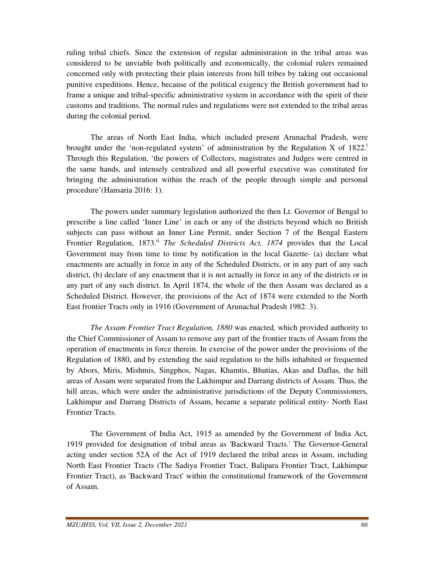ruling tribal chiefs. Since the extension of regular administration in the tribal areas was considered to be unviable both politically and economically, the colonial rulers remained concerned only with protecting their plain interests from hill tribes by taking out occasional punitive expeditions. Hence, because of the political exigency the British government had to frame a unique and tribal-specific administrative system in accordance with the spirit of their customs and traditions. The normal rules and regulations were not extended to the tribal areas during the colonial period.

 The areas of North East India, which included present Arunachal Pradesh, were brought under the 'non-regulated system' of administration by the Regulation X of  $1822<sup>1</sup>$ Through this Regulation, 'the powers of Collectors, magistrates and Judges were centred in the same hands, and intensely centralized and all powerful executive was constituted for bringing the administration within the reach of the people through simple and personal procedure'(Hansaria 2016: 1).

 The powers under summary legislation authorized the then Lt. Governor of Bengal to prescribe a line called 'Inner Line' in each or any of the districts beyond which no British subjects can pass without an Inner Line Permit, under Section 7 of the Bengal Eastern Frontier Regulation, 1873.<sup>ii</sup> *The Scheduled Districts Act, 1874* provides that the Local Government may from time to time by notification in the local Gazette- (a) declare what enactments are actually in force in any of the Scheduled Districts, or in any part of any such district, (b) declare of any enactment that it is not actually in force in any of the districts or in any part of any such district. In April 1874, the whole of the then Assam was declared as a Scheduled District. However, the provisions of the Act of 1874 were extended to the North East frontier Tracts only in 1916 (Government of Arunachal Pradesh 1982: 3).

*The Assam Frontier Tract Regulation, 1880* was enacted*,* which provided authority to the Chief Commissioner of Assam to remove any part of the frontier tracts of Assam from the operation of enactments in force therein. In exercise of the power under the provisions of the Regulation of 1880, and by extending the said regulation to the hills inhabited or frequented by Abors, Miris, Mishmis, Singphos, Nagas, Khamtis, Bhutias, Akas and Daflas, the hill areas of Assam were separated from the Lakhimpur and Darrang districts of Assam. Thus, the hill areas, which were under the administrative jurisdictions of the Deputy Commissioners, Lakhimpur and Darrang Districts of Assam, became a separate political entity- North East Frontier Tracts.

 The Government of India Act, 1915 as amended by the Government of India Act, 1919 provided for designation of tribal areas as 'Backward Tracts.' The Governor-General acting under section 52A of the Act of 1919 declared the tribal areas in Assam, including North East Frontier Tracts (The Sadiya Frontier Tract, Balipara Frontier Tract, Lakhimpur Frontier Tract), as 'Backward Tract' within the constitutional framework of the Government of Assam.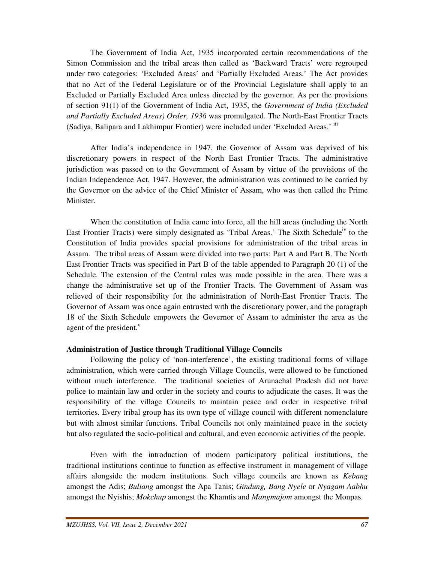The Government of India Act, 1935 incorporated certain recommendations of the Simon Commission and the tribal areas then called as 'Backward Tracts' were regrouped under two categories: 'Excluded Areas' and 'Partially Excluded Areas.' The Act provides that no Act of the Federal Legislature or of the Provincial Legislature shall apply to an Excluded or Partially Excluded Area unless directed by the governor. As per the provisions of section 91(1) of the Government of India Act, 1935, the *Government of India (Excluded and Partially Excluded Areas) Order, 1936* was promulgated. The North-East Frontier Tracts (Sadiya, Balipara and Lakhimpur Frontier) were included under 'Excluded Areas.' iii

After India's independence in 1947, the Governor of Assam was deprived of his discretionary powers in respect of the North East Frontier Tracts. The administrative jurisdiction was passed on to the Government of Assam by virtue of the provisions of the Indian Independence Act, 1947. However, the administration was continued to be carried by the Governor on the advice of the Chief Minister of Assam, who was then called the Prime Minister.

When the constitution of India came into force, all the hill areas (including the North East Frontier Tracts) were simply designated as 'Tribal Areas.' The Sixth Schedule<sup>iv</sup> to the Constitution of India provides special provisions for administration of the tribal areas in Assam. The tribal areas of Assam were divided into two parts: Part A and Part B. The North East Frontier Tracts was specified in Part B of the table appended to Paragraph 20 (1) of the Schedule. The extension of the Central rules was made possible in the area. There was a change the administrative set up of the Frontier Tracts. The Government of Assam was relieved of their responsibility for the administration of North-East Frontier Tracts. The Governor of Assam was once again entrusted with the discretionary power, and the paragraph 18 of the Sixth Schedule empowers the Governor of Assam to administer the area as the agent of the president. $\overline{v}$ 

## **Administration of Justice through Traditional Village Councils**

 Following the policy of 'non-interference', the existing traditional forms of village administration, which were carried through Village Councils, were allowed to be functioned without much interference. The traditional societies of Arunachal Pradesh did not have police to maintain law and order in the society and courts to adjudicate the cases. It was the responsibility of the village Councils to maintain peace and order in respective tribal territories. Every tribal group has its own type of village council with different nomenclature but with almost similar functions. Tribal Councils not only maintained peace in the society but also regulated the socio-political and cultural, and even economic activities of the people.

 Even with the introduction of modern participatory political institutions, the traditional institutions continue to function as effective instrument in management of village affairs alongside the modern institutions. Such village councils are known as *Kebang* amongst the Adis; *Buliang* amongst the Apa Tanis; *Gindung, Bang Nyele* or *Nyagam Aabhu* amongst the Nyishis; *Mokchup* amongst the Khamtis and *Mangmajom* amongst the Monpas.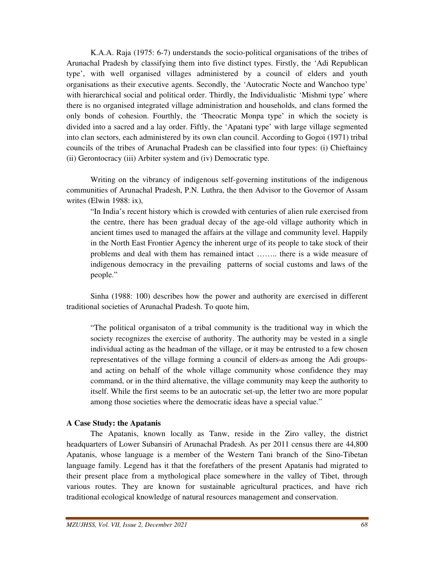K.A.A. Raja (1975: 6-7) understands the socio-political organisations of the tribes of Arunachal Pradesh by classifying them into five distinct types. Firstly, the 'Adi Republican type', with well organised villages administered by a council of elders and youth organisations as their executive agents. Secondly, the 'Autocratic Nocte and Wanchoo type' with hierarchical social and political order. Thirdly, the Individualistic 'Mishmi type' where there is no organised integrated village administration and households, and clans formed the only bonds of cohesion. Fourthly, the 'Theocratic Monpa type' in which the society is divided into a sacred and a lay order. Fiftly, the 'Apatani type' with large village segmented into clan sectors, each administered by its own clan council. According to Gogoi (1971) tribal councils of the tribes of Arunachal Pradesh can be classified into four types: (i) Chieftaincy (ii) Gerontocracy (iii) Arbiter system and (iv) Democratic type.

 Writing on the vibrancy of indigenous self-governing institutions of the indigenous communities of Arunachal Pradesh, P.N. Luthra, the then Advisor to the Governor of Assam writes (Elwin 1988: ix),

 "In India's recent history which is crowded with centuries of alien rule exercised from the centre, there has been gradual decay of the age-old village authority which in ancient times used to managed the affairs at the village and community level. Happily in the North East Frontier Agency the inherent urge of its people to take stock of their problems and deal with them has remained intact …….. there is a wide measure of indigenous democracy in the prevailing patterns of social customs and laws of the people."

 Sinha (1988: 100) describes how the power and authority are exercised in different traditional societies of Arunachal Pradesh. To quote him,

 "The political organisaton of a tribal community is the traditional way in which the society recognizes the exercise of authority. The authority may be vested in a single individual acting as the headman of the village, or it may be entrusted to a few chosen representatives of the village forming a council of elders-as among the Adi groups and acting on behalf of the whole village community whose confidence they may command, or in the third alternative, the village community may keep the authority to itself. While the first seems to be an autocratic set-up, the letter two are more popular among those societies where the democratic ideas have a special value."

## **A Case Study: the Apatanis**

 The Apatanis, known locally as Tanw, reside in the Ziro valley, the district headquarters of Lower Subansiri of Arunachal Pradesh. As per 2011 census there are 44,800 Apatanis, whose language is a member of the Western Tani branch of the Sino-Tibetan language family. Legend has it that the forefathers of the present Apatanis had migrated to their present place from a mythological place somewhere in the valley of Tibet, through various routes. They are known for sustainable agricultural practices, and have rich traditional ecological knowledge of natural resources management and conservation.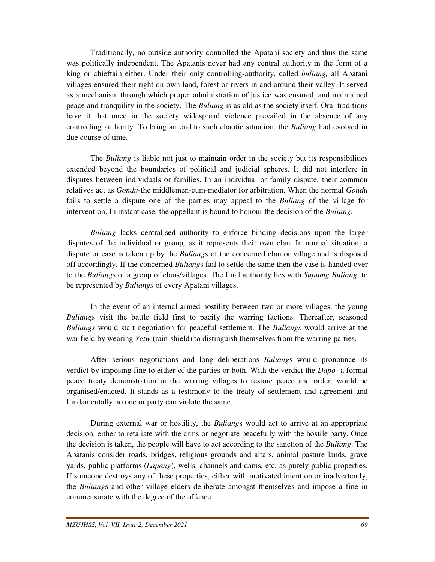Traditionally, no outside authority controlled the Apatani society and thus the same was politically independent. The Apatanis never had any central authority in the form of a king or chieftain either. Under their only controlling-authority, called *buliang,* all Apatani villages ensured their right on own land, forest or rivers in and around their valley. It served as a mechanism through which proper administration of justice was ensured, and maintained peace and tranquility in the society. The *Buliang* is as old as the society itself. Oral traditions have it that once in the society widespread violence prevailed in the absence of any controlling authority. To bring an end to such chaotic situation, the *Buliang* had evolved in due course of time.

 The *Buliang* is liable not just to maintain order in the society but its responsibilities extended beyond the boundaries of political and judicial spheres. It did not interfere in disputes between individuals or families. In an individual or family dispute, their common relatives act as *Gondu*-the middlemen-cum-mediator for arbitration. When the normal *Gondu* fails to settle a dispute one of the parties may appeal to the *Buliang* of the village for intervention. In instant case, the appellant is bound to honour the decision of the *Buliang*.

*Buliang* lacks centralised authority to enforce binding decisions upon the larger disputes of the individual or group*,* as it represents their own clan. In normal situation, a dispute or case is taken up by the *Buliang*s of the concerned clan or village and is disposed off accordingly. If the concerned *Buliang*s fail to settle the same then the case is handed over to the *Buliang*s of a group of clans/villages. The final authority lies with *Supumg Buliang,* to be represented by *Buliangs* of every Apatani villages.

 In the event of an internal armed hostility between two or more villages, the young *Buliang*s visit the battle field first to pacify the warring factions. Thereafter, seasoned *Buliangs* would start negotiation for peaceful settlement. The *Buliangs* would arrive at the war field by wearing *Yetw* (rain-shield) to distinguish themselves from the warring parties.

 After serious negotiations and long deliberations *Buliang*s would pronounce its verdict by imposing fine to either of the parties or both. With the verdict the *Dapo*- a formal peace treaty demonstration in the warring villages to restore peace and order, would be organised/enacted. It stands as a testimony to the treaty of settlement and agreement and fundamentally no one or party can violate the same.

 During external war or hostility, the *Buliang*s would act to arrive at an appropriate decision, either to retaliate with the arms or negotiate peacefully with the hostile party. Once the decision is taken, the people will have to act according to the sanction of the *Buliang*. The Apatanis consider roads, bridges, religious grounds and altars, animal pasture lands, grave yards, public platforms (*Lapang*), wells, channels and dams, etc. as purely public properties. If someone destroys any of these properties, either with motivated intention or inadvertently, the *Buliang*s and other village elders deliberate amongst themselves and impose a fine in commensurate with the degree of the offence.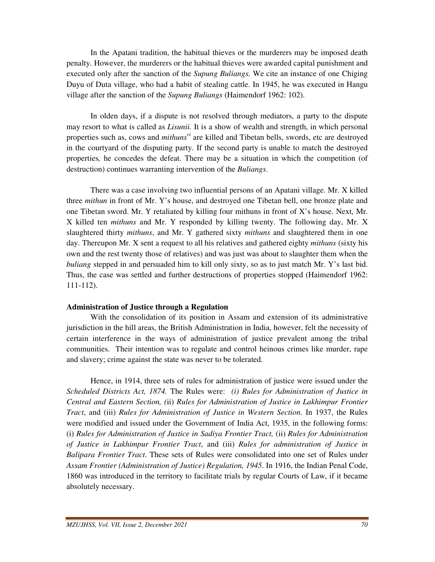In the Apatani tradition, the habitual thieves or the murderers may be imposed death penalty. However, the murderers or the habitual thieves were awarded capital punishment and executed only after the sanction of the *Supung Buliangs.* We cite an instance of one Chiging Duyu of Duta village, who had a habit of stealing cattle. In 1945, he was executed in Hangu village after the sanction of the *Supung Buliangs* (Haimendorf 1962: 102).

 In olden days, if a dispute is not resolved through mediators, a party to the dispute may resort to what is called as *Lisunii.* It is a show of wealth and strength, in which personal properties such as, cows and *mithunsvi* are killed and Tibetan bells, swords, etc are destroyed in the courtyard of the disputing party. If the second party is unable to match the destroyed properties*,* he concedes the defeat. There may be a situation in which the competition (of destruction) continues warranting intervention of the *Buliangs*.

 There was a case involving two influential persons of an Apatani village. Mr. X killed three *mithun* in front of Mr. Y's house, and destroyed one Tibetan bell, one bronze plate and one Tibetan sword. Mr. Y retaliated by killing four mithuns in front of X's house. Next, Mr. X killed ten *mithuns* and Mr. Y responded by killing twenty. The following day, Mr. X slaughtered thirty *mithuns*, and Mr. Y gathered sixty *mithuns* and slaughtered them in one day. Thereupon Mr. X sent a request to all his relatives and gathered eighty *mithuns* (sixty his own and the rest twenty those of relatives) and was just was about to slaughter them when the *buliang* stepped in and persuaded him to kill only sixty, so as to just match Mr. Y's last bid. Thus, the case was settled and further destructions of properties stopped (Haimendorf 1962: 111-112).

## **Administration of Justice through a Regulation**

 With the consolidation of its position in Assam and extension of its administrative jurisdiction in the hill areas, the British Administration in India, however, felt the necessity of certain interference in the ways of administration of justice prevalent among the tribal communities. Their intention was to regulate and control heinous crimes like murder, rape and slavery; crime against the state was never to be tolerated.

 Hence, in 1914, three sets of rules for administration of justice were issued under the *Scheduled Districts Act, 1874.* The Rules were: *(i) Rules for Administration of Justice in Central and Eastern Section, (*ii) *Rules for Administration of Justice in Lakhimpur Frontier Tract*, and (iii) *Rules for Administration of Justice in Western Section*. In 1937, the Rules were modified and issued under the Government of India Act, 1935, in the following forms: (i) *Rules for Administration of Justice in Sadiya Frontier Tract,* (ii) *Rules for Administration of Justice in Lakhimpur Frontier Tract*, and (iii) *Rules for administration of Justice in Balipara Frontier Tract*. These sets of Rules were consolidated into one set of Rules under *Assam Frontier (Administration of Justice) Regulation, 1945*. In 1916, the Indian Penal Code, 1860 was introduced in the territory to facilitate trials by regular Courts of Law, if it became absolutely necessary.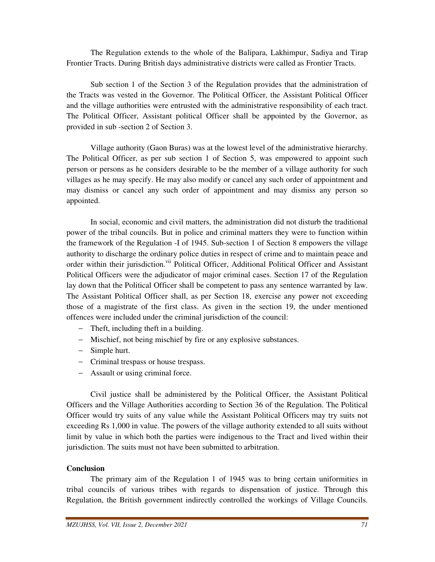The Regulation extends to the whole of the Balipara, Lakhimpur, Sadiya and Tirap Frontier Tracts. During British days administrative districts were called as Frontier Tracts.

 Sub section 1 of the Section 3 of the Regulation provides that the administration of the Tracts was vested in the Governor. The Political Officer, the Assistant Political Officer and the village authorities were entrusted with the administrative responsibility of each tract. The Political Officer, Assistant political Officer shall be appointed by the Governor, as provided in sub -section 2 of Section 3.

 Village authority (Gaon Buras) was at the lowest level of the administrative hierarchy. The Political Officer, as per sub section 1 of Section 5, was empowered to appoint such person or persons as he considers desirable to be the member of a village authority for such villages as he may specify. He may also modify or cancel any such order of appointment and may dismiss or cancel any such order of appointment and may dismiss any person so appointed.

 In social, economic and civil matters, the administration did not disturb the traditional power of the tribal councils. But in police and criminal matters they were to function within the framework of the Regulation -I of 1945. Sub-section 1 of Section 8 empowers the village authority to discharge the ordinary police duties in respect of crime and to maintain peace and order within their jurisdiction.<sup>vii</sup> Political Officer, Additional Political Officer and Assistant Political Officers were the adjudicator of major criminal cases. Section 17 of the Regulation lay down that the Political Officer shall be competent to pass any sentence warranted by law. The Assistant Political Officer shall, as per Section 18, exercise any power not exceeding those of a magistrate of the first class. As given in the section 19, the under mentioned offences were included under the criminal jurisdiction of the council:

- − Theft, including theft in a building.
- − Mischief, not being mischief by fire or any explosive substances.
- − Simple hurt.
- − Criminal trespass or house trespass.
- − Assault or using criminal force.

 Civil justice shall be administered by the Political Officer, the Assistant Political Officers and the Village Authorities according to Section 36 of the Regulation. The Political Officer would try suits of any value while the Assistant Political Officers may try suits not exceeding Rs 1,000 in value. The powers of the village authority extended to all suits without limit by value in which both the parties were indigenous to the Tract and lived within their jurisdiction. The suits must not have been submitted to arbitration.

# **Conclusion**

 The primary aim of the Regulation 1 of 1945 was to bring certain uniformities in tribal councils of various tribes with regards to dispensation of justice. Through this Regulation, the British government indirectly controlled the workings of Village Councils.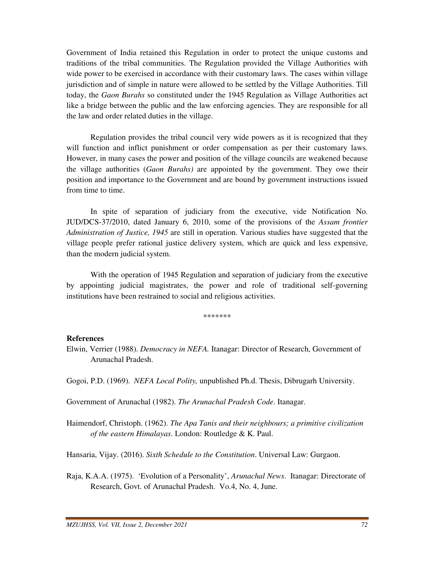Government of India retained this Regulation in order to protect the unique customs and traditions of the tribal communities. The Regulation provided the Village Authorities with wide power to be exercised in accordance with their customary laws. The cases within village jurisdiction and of simple in nature were allowed to be settled by the Village Authorities. Till today, the *Gaon Burahs* so constituted under the 1945 Regulation as Village Authorities act like a bridge between the public and the law enforcing agencies. They are responsible for all the law and order related duties in the village.

 Regulation provides the tribal council very wide powers as it is recognized that they will function and inflict punishment or order compensation as per their customary laws. However, in many cases the power and position of the village councils are weakened because the village authorities (*Gaon Burahs)* are appointed by the government. They owe their position and importance to the Government and are bound by government instructions issued from time to time.

 In spite of separation of judiciary from the executive, vide Notification No. JUD/DCS-37/2010, dated January 6, 2010, some of the provisions of the *Assam frontier Administration of Justice, 1945* are still in operation. Various studies have suggested that the village people prefer rational justice delivery system, which are quick and less expensive, than the modern judicial system.

 With the operation of 1945 Regulation and separation of judiciary from the executive by appointing judicial magistrates, the power and role of traditional self-governing institutions have been restrained to social and religious activities.

\*\*\*\*\*\*\*

#### **References**

Elwin, Verrier (1988). *Democracy in NEFA.* Itanagar: Director of Research, Government of Arunachal Pradesh.

Gogoi, P.D. (1969). *NEFA Local Polity,* unpublished Ph.d. Thesis, Dibrugarh University.

Government of Arunachal (1982). *The Arunachal Pradesh Code*. Itanagar.

Haimendorf, Christoph. (1962). *The Apa Tanis and their neighbours; a primitive civilization of the eastern Himalayas*. London: Routledge & K. Paul.

Hansaria, Vijay. (2016). *Sixth Schedule to the Constitution*. Universal Law: Gurgaon.

Raja, K.A.A. (1975). 'Evolution of a Personality', *Arunachal News*. Itanagar: Directorate of Research, Govt. of Arunachal Pradesh. Vo.4, No. 4, June.